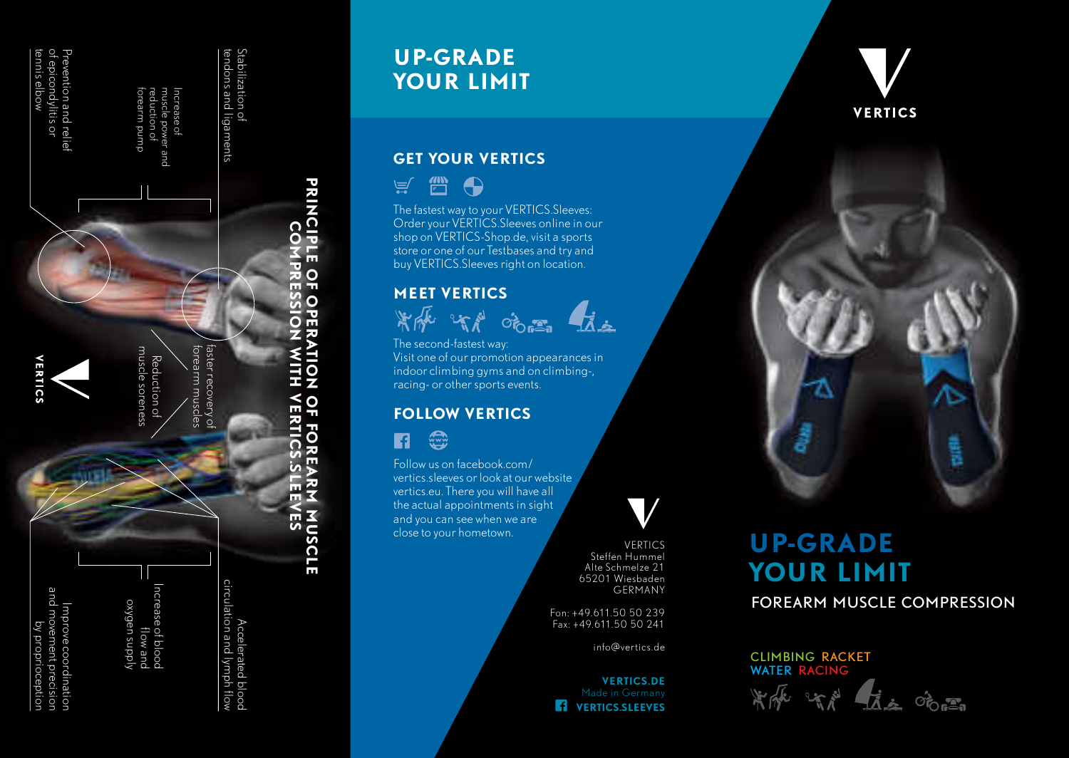

# **UP-GRADE YOUR LIMIT**

## **GET YOUR VERTICS**

 $\mathbb{Z}$  $\bigoplus$  $\equiv$ 

**PRINCIPLE**

**PRINCIPLE** 

<u>O</u>

**OPERATION**

**FOREARM**

**FOREARM** 

**MUSCLE**

**MUSCLE** 

The fastest way to your VERTICS.Sleeves: Order your VERTICS.Sleeves online in our shop on VERTICS-Shop.de, visit a sports store or one of our Testbases and try and buy VERTICS.Sleeves right on location.

### **MEET VERTICS**





The second-fastest way: Visit one of our promotion appearances in indoor climbing gyms and on climbing-, racing- or other sports events.

#### **FOLLOW VERTICS**

 $\left(\begin{matrix} \frac{1}{2} \\ \frac{1}{2} \end{matrix}\right)$ R

Follow us on facebook.com/ vertics.sleeves or look at our website vertics.eu. There you will have all the actual appointments in sight and you can see when we are close to your hometown.

 VERTICS Steffen Hummel Alte Schmelze 21 65201 Wiesbaden GERMANY

Fon: +49.611.50 50 239 Fax: +49.611.50 50 241

info@vertics.de

 **VERTICS.DE** *VERTICS.SLEEVES* 





# **UP-GRADE YOUR LIMIT** FOREARM MUSCLE COMPRESSION

CLIMBING RACKET WATER RACING